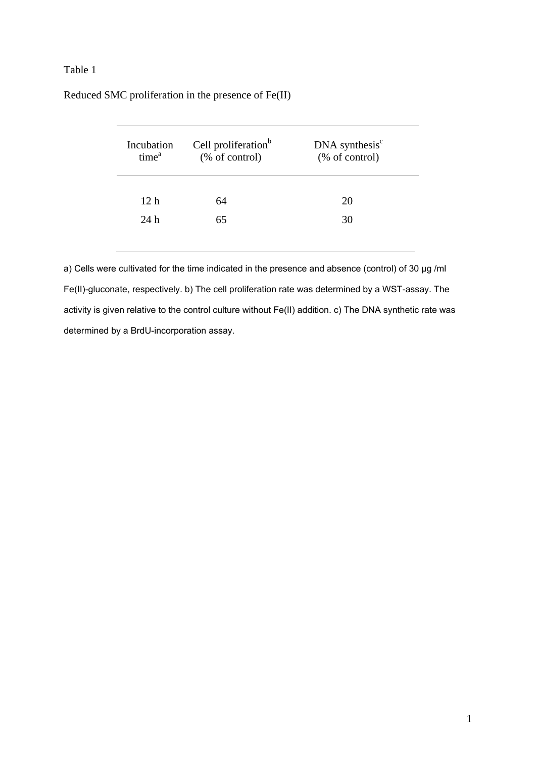## Table 1

| Incubation<br>time <sup>a</sup> | Cell proliferation <sup>b</sup><br>(% of control) | $DNA$ synthesis $c$<br>(% of control) |  |
|---------------------------------|---------------------------------------------------|---------------------------------------|--|
| 12 h                            | 64                                                | 20                                    |  |
| 24h                             | 65                                                | 30                                    |  |

Reduced SMC proliferation in the presence of Fe(II)

a) Cells were cultivated for the time indicated in the presence and absence (control) of 30 μg /ml Fe(II)-gluconate, respectively. b) The cell proliferation rate was determined by a WST-assay. The activity is given relative to the control culture without Fe(II) addition. c) The DNA synthetic rate was determined by a BrdU-incorporation assay.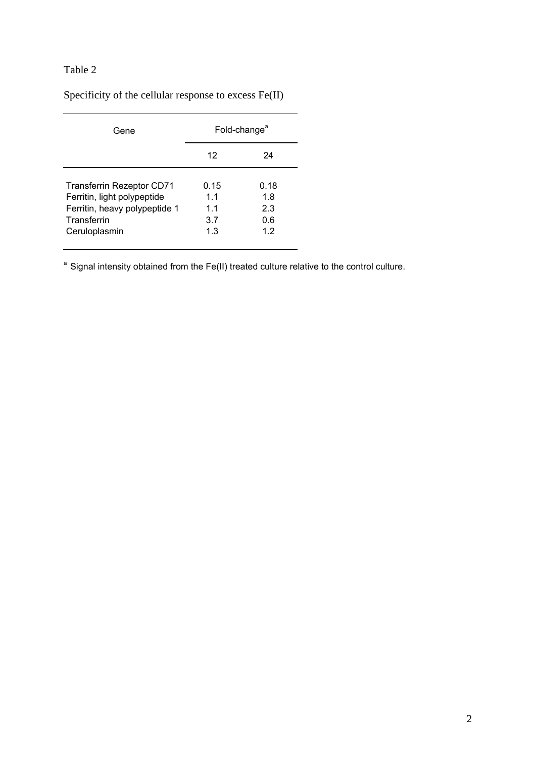## Table 2

Specificity of the cellular response to excess Fe(II)

| Gene                                                                                                                             | Fold-change <sup>a</sup>        |                                 |  |
|----------------------------------------------------------------------------------------------------------------------------------|---------------------------------|---------------------------------|--|
|                                                                                                                                  | 12                              | 24                              |  |
| <b>Transferrin Rezeptor CD71</b><br>Ferritin, light polypeptide<br>Ferritin, heavy polypeptide 1<br>Transferrin<br>Ceruloplasmin | 0.15<br>1.1<br>11<br>3.7<br>1.3 | 0.18<br>1.8<br>2.3<br>0.6<br>12 |  |

<sup>a</sup> Signal intensity obtained from the Fe(II) treated culture relative to the control culture.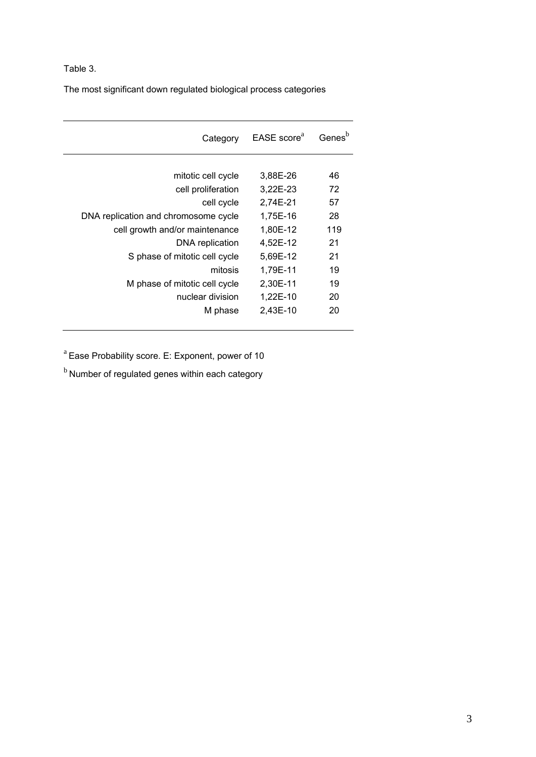## Table 3.

The most significant down regulated biological process categories

| Category                             | EASE score <sup>a</sup> | Genes <sup>'</sup> |
|--------------------------------------|-------------------------|--------------------|
|                                      |                         |                    |
| mitotic cell cycle                   | 3,88E-26                | 46                 |
| cell proliferation                   | 3,22E-23                | 72                 |
| cell cycle                           | 2,74E-21                | 57                 |
| DNA replication and chromosome cycle | 1,75E-16                | 28                 |
| cell growth and/or maintenance       | 1,80E-12                | 119                |
| DNA replication                      | 4,52E-12                | 21                 |
| S phase of mitotic cell cycle        | 5,69E-12                | 21                 |
| mitosis                              | 1,79E-11                | 19                 |
| M phase of mitotic cell cycle        | 2,30E-11                | 19                 |
| nuclear division                     | 1,22E-10                | 20                 |
| M phase                              | 2,43E-10                | 20                 |
|                                      |                         |                    |

 $a^{a}$  Ease Probability score. E: Exponent, power of 10

 $<sup>b</sup>$  Number of regulated genes within each category</sup>